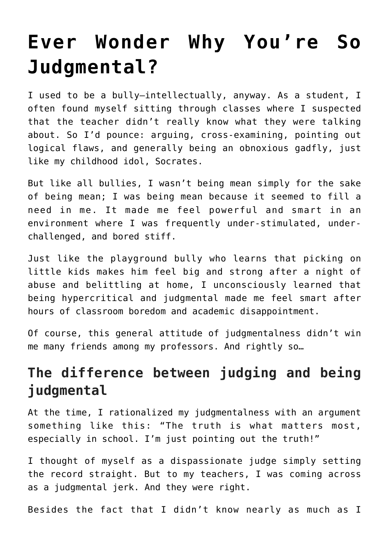# **[Ever Wonder Why You're So](https://danielbrooksmoore.com/nowsthetime/2019/05/31/ever-wonder-why-youre-so-judgmental/) [Judgmental?](https://danielbrooksmoore.com/nowsthetime/2019/05/31/ever-wonder-why-youre-so-judgmental/)**

I used to be a bully—intellectually, anyway. As a student, I often found myself sitting through classes where I suspected that the teacher didn't really know what they were talking about. So I'd pounce: arguing, cross-examining, pointing out logical flaws, and generally being an obnoxious gadfly, just like my childhood idol, [Socrates.](https://en.wikipedia.org/wiki/Socrates)

But like all bullies, I wasn't being mean simply for the sake of being mean; I was being mean because it seemed to fill a need in me. It made me feel powerful and smart in an environment where I was frequently under-stimulated, underchallenged, and bored stiff.

Just like the playground bully who learns that picking on little kids makes him feel big and strong after a night of abuse and belittling at home, I unconsciously learned that being hypercritical and judgmental made me feel smart after hours of classroom boredom and academic disappointment.

Of course, this general attitude of judgmentalness didn't win me many friends among my professors. And rightly so…

# **The difference between judging and being judgmental**

At the time, I rationalized my judgmentalness with an argument something like this: "The truth is what matters most, especially in school. I'm just pointing out the truth!"

I thought of myself as a dispassionate judge simply setting the record straight. But to my teachers, I was coming across as a judgmental jerk. And they were right.

Besides the fact that I didn't know nearly as much as I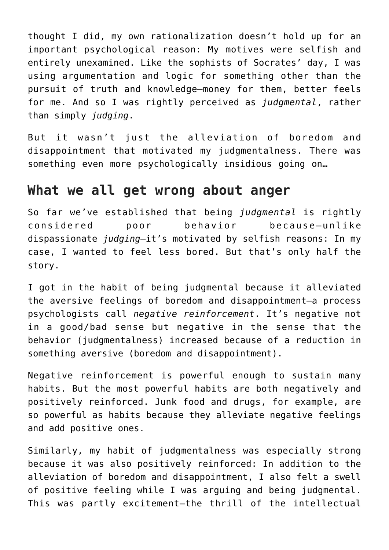thought I did, my own rationalization doesn't hold up for an important psychological reason: My motives were selfish and entirely unexamined. Like the sophists of Socrates' day, I was using argumentation and logic for something other than the pursuit of truth and knowledge—money for them, better feels for me. And so I was rightly perceived as *judgmental*, rather than simply *judging*.

But it wasn't just the alleviation of boredom and disappointment that motivated my judgmentalness. There was something even more psychologically insidious going on…

### **What we all get wrong about anger**

So far we've established that being *judgmental* is rightly considered poor behavior because—unlike dispassionate *judging*—it's motivated by selfish reasons: In my case, I wanted to feel less bored. But that's only half the story.

I got in the habit of being judgmental because it alleviated the aversive feelings of boredom and disappointment—a process psychologists call *negative reinforcement*. It's negative not in a good/bad sense but negative in the sense that the behavior (judgmentalness) increased because of a reduction in something aversive (boredom and disappointment).

Negative reinforcement is powerful enough to sustain many habits. But the most powerful habits are both negatively and positively reinforced. Junk food and drugs, for example, are so powerful as habits because they alleviate negative feelings and add positive ones.

Similarly, my habit of judgmentalness was especially strong because it was also positively reinforced: In addition to the alleviation of boredom and disappointment, I also felt a swell of positive feeling while I was arguing and being judgmental. This was partly excitement—the thrill of the intellectual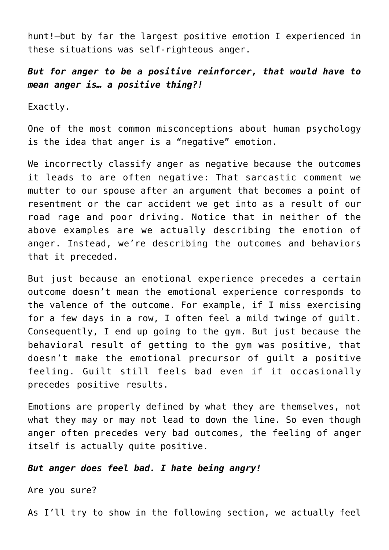hunt!—but by far the largest positive emotion I experienced in these situations was self-righteous anger.

*But for anger to be a positive reinforcer, that would have to mean anger is… a positive thing?!*

Exactly.

One of the most common misconceptions about human psychology is the idea that anger is a "negative" emotion.

We incorrectly classify anger as negative because the outcomes it leads to are often negative: That sarcastic comment we mutter to our spouse after an argument that becomes a point of resentment or the car accident we get into as a result of our road rage and poor driving. Notice that in neither of the above examples are we actually describing the emotion of anger. Instead, we're describing the outcomes and behaviors that it preceded.

But just because an emotional experience precedes a certain outcome doesn't mean the emotional experience corresponds to the valence of the outcome. For example, if I miss exercising for a few days in a row, I often feel a mild twinge of guilt. Consequently, I end up going to the gym. But just because the behavioral result of getting to the gym was positive, that doesn't make the emotional precursor of guilt a positive feeling. Guilt still feels bad even if it occasionally precedes positive results.

Emotions are properly defined by what they are themselves, not what they may or may not lead to down the line. So even though anger often precedes very bad outcomes, the feeling of anger itself is actually quite positive.

#### *But anger does feel bad. I hate being angry!*

Are you sure?

As I'll try to show in the following section, we actually feel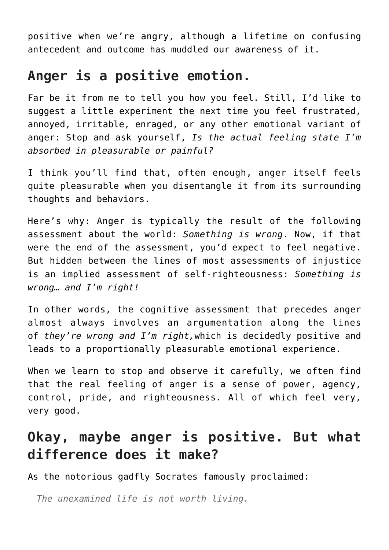positive when we're angry, although a lifetime on confusing antecedent and outcome has muddled our awareness of it.

## **Anger is a positive emotion.**

Far be it from me to tell you how you feel. Still, I'd like to suggest a little experiment the next time you feel frustrated, annoyed, irritable, enraged, or any other emotional variant of anger: Stop and ask yourself, *Is the actual feeling state I'm absorbed in pleasurable or painful?*

I think you'll find that, often enough, anger itself feels quite pleasurable when you disentangle it from its surrounding thoughts and behaviors.

Here's why: Anger is typically the result of the following assessment about the world: *Something is wrong*. Now, if that were the end of the assessment, you'd expect to feel negative. But hidden between the lines of most assessments of injustice is an implied assessment of self-righteousness: *Something is wrong… and I'm right!*

In other words, the cognitive assessment that precedes anger almost always involves an argumentation along the lines of *they're wrong and I'm right,*which is decidedly positive and leads to a proportionally pleasurable emotional experience.

When we learn to stop and observe it carefully, we often find that the real feeling of anger is a sense of power, agency, control, pride, and righteousness. All of which feel very, very good.

# **Okay, maybe anger is positive. But what difference does it make?**

As the notorious gadfly Socrates famously proclaimed:

*The unexamined life is not worth living.*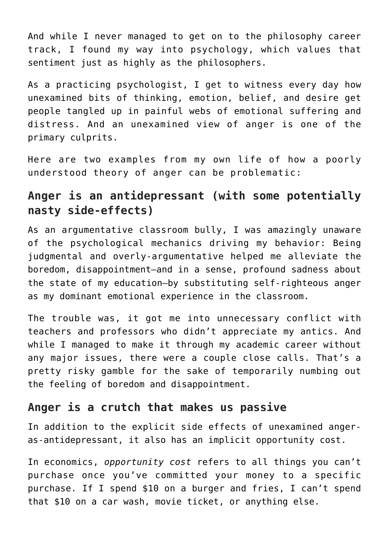And while I never managed to get on to the philosophy career track, I found my way into psychology, which values that sentiment just as highly as the philosophers.

As a practicing psychologist, I get to witness every day how unexamined bits of thinking, emotion, belief, and desire get people tangled up in [painful webs of emotional suffering and](https://nickwignall.com/cognitive-model/) [distress](https://nickwignall.com/cognitive-model/). And an unexamined view of anger is one of the primary culprits.

Here are two examples from my own life of how a poorly understood theory of anger can be problematic:

#### **Anger is an antidepressant (with some potentially nasty side-effects)**

As an argumentative classroom bully, I was amazingly unaware of the psychological mechanics driving my behavior: Being judgmental and overly-argumentative helped me alleviate the boredom, disappointment—and in a sense, profound sadness about the state of my education—by substituting self-righteous anger as my dominant emotional experience in the classroom.

The trouble was, it got me into unnecessary conflict with teachers and professors who didn't appreciate my antics. And while I managed to make it through my academic career without any major issues, there were a couple close calls. That's a pretty risky gamble for the sake of temporarily numbing out the feeling of boredom and disappointment.

#### **Anger is a crutch that makes us passive**

In addition to the explicit side effects of unexamined angeras-antidepressant, it also has an implicit opportunity cost.

In economics, *[opportunity cost](https://en.wikipedia.org/wiki/Opportunity_cost)* refers to all things you can't purchase once you've committed your money to a specific purchase. If I spend \$10 on a burger and fries, I can't spend that \$10 on a car wash, movie ticket, or anything else.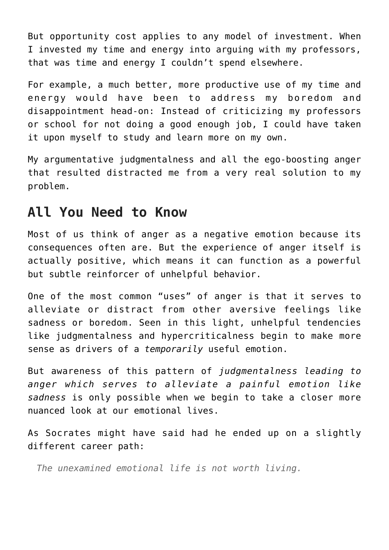But opportunity cost applies to any model of investment. When I invested my time and energy into arguing with my professors, that was time and energy I couldn't spend elsewhere.

For example, a much better, more productive use of my time and energy would have been to address my boredom and disappointment head-on: Instead of criticizing my professors or school for not doing a good enough job, I could have taken it upon myself to study and learn more on my own.

My argumentative judgmentalness and all the ego-boosting anger that resulted distracted me from a very real solution to my problem.

### **All You Need to Know**

Most of us think of anger as a negative emotion because its consequences often are. But the experience of anger itself is actually positive, which means it can function as a powerful but subtle reinforcer of unhelpful behavior.

One of the most common "uses" of anger is that it serves to alleviate or distract from other aversive feelings like sadness or boredom. Seen in this light, unhelpful tendencies like judgmentalness and hypercriticalness begin to make more sense as drivers of a *temporarily* useful emotion.

But awareness of this pattern of *judgmentalness leading to anger which serves to alleviate a painful emotion like sadness* is only possible when we begin to take a closer more nuanced look at [our emotional lives.](https://nickwignall.com/emotional-clarity/)

As Socrates might have said had he ended up on a slightly different career path:

*The unexamined emotional life is not worth living.*